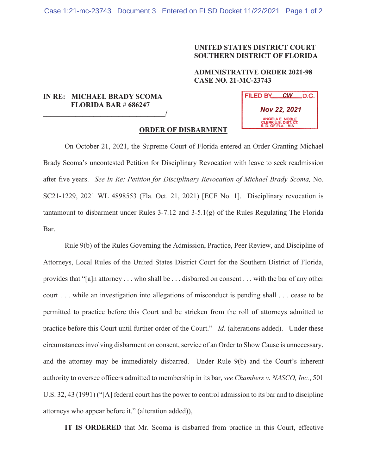## **UNITED STATES DISTRICT COURT SOUTHERN DISTRICT OF FLORIDA**

## **ADMINISTRATIVE ORDER 2021-98 CASE NO. 21-MC-23743**

## **IN RE: MICHAEL BRADY SCOMA FLORIDA BAR** # **686247**   $\overline{a}$

| FILED BY<br><b>CW</b>                                          | LD.C. |
|----------------------------------------------------------------|-------|
| <b>Nov 22, 2021</b>                                            |       |
| ANGELA E. NOBLE<br>CLERK U.S. DIST. CT.<br>S. D. OF FLA. - MIA |       |

## **ORDER OF DISBARMENT**

 On October 21, 2021, the Supreme Court of Florida entered an Order Granting Michael Brady Scoma's uncontested Petition for Disciplinary Revocation with leave to seek readmission after five years. *See In Re: Petition for Disciplinary Revocation of Michael Brady Scoma,* No. SC21-1229, 2021 WL 4898553 (Fla. Oct. 21, 2021) [ECF No. 1]. Disciplinary revocation is tantamount to disbarment under Rules 3-7.12 and 3-5.1(g) of the Rules Regulating The Florida Bar.

Rule 9(b) of the Rules Governing the Admission, Practice, Peer Review, and Discipline of Attorneys, Local Rules of the United States District Court for the Southern District of Florida, provides that "[a]n attorney . . . who shall be . . . disbarred on consent . . . with the bar of any other court . . . while an investigation into allegations of misconduct is pending shall . . . cease to be permitted to practice before this Court and be stricken from the roll of attorneys admitted to practice before this Court until further order of the Court." *Id*. (alterations added). Under these circumstances involving disbarment on consent, service of an Order to Show Cause is unnecessary, and the attorney may be immediately disbarred. Under Rule 9(b) and the Court's inherent authority to oversee officers admitted to membership in its bar, *see Chambers v. NASCO, Inc.*, 501 U.S. 32, 43 (1991) ("[A] federal court has the power to control admission to its bar and to discipline attorneys who appear before it." (alteration added)),

**IT IS ORDERED** that Mr. Scoma is disbarred from practice in this Court, effective